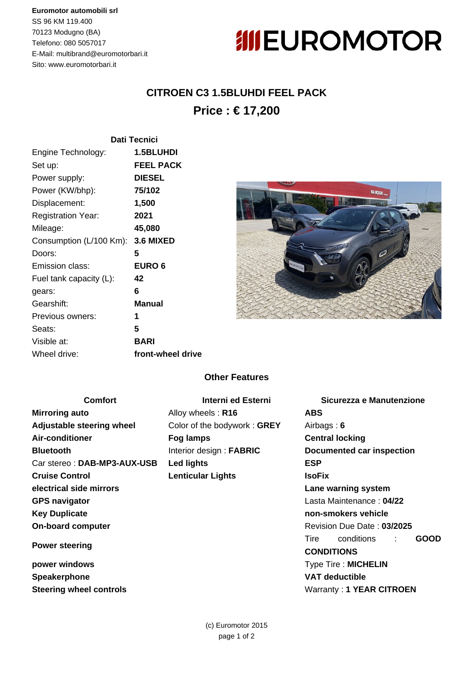### **Euromotor automobili srl**

SS 96 KM 119.400 70123 Modugno (BA) Telefono: 080 5057017 E-Mail: multibrand@euromotorbari.it Sito: www.euromotorbari.it

# **IIIEUROMOTOR**

## **CITROEN C3 1.5BLUHDI FEEL PACK Price : € 17,200**

|                                   | <b>Dati Tecnici</b> |  |
|-----------------------------------|---------------------|--|
| Engine Technology:                | <b>1.5BLUHDI</b>    |  |
| Set up:                           | <b>FEEL PACK</b>    |  |
| Power supply:                     | <b>DIESEL</b>       |  |
| Power (KW/bhp):                   | 75/102              |  |
| Displacement:                     | 1,500               |  |
| <b>Registration Year:</b>         | 2021                |  |
| Mileage:                          | 45,080              |  |
| Consumption (L/100 Km): 3.6 MIXED |                     |  |
| Doors:                            | 5                   |  |
| Emission class:                   | <b>EURO 6</b>       |  |
| Fuel tank capacity (L):           | 42                  |  |
| gears:                            | 6                   |  |
| Gearshift:                        | Manual              |  |
| Previous owners:                  | 1                   |  |
| Seats:                            | 5                   |  |
| Visible at:                       | <b>BARI</b>         |  |
| Wheel drive:                      | front-wheel drive   |  |



### **Other Features**

| <b>Comfort</b>                 | Interni ed Esterni          | Sicurezza e Manutenzione          |
|--------------------------------|-----------------------------|-----------------------------------|
| <b>Mirroring auto</b>          | Alloy wheels: R16           | <b>ABS</b>                        |
| Adjustable steering wheel      | Color of the bodywork: GREY | Airbags: $6$                      |
| Air-conditioner                | Fog lamps                   | <b>Central locking</b>            |
| <b>Bluetooth</b>               | Interior design: FABRIC     | Documented car inspection         |
| Car stereo: DAB-MP3-AUX-USB    | <b>Led lights</b>           | <b>ESP</b>                        |
| <b>Cruise Control</b>          | <b>Lenticular Lights</b>    | <b>IsoFix</b>                     |
| electrical side mirrors        |                             | Lane warning system               |
| <b>GPS navigator</b>           |                             | Lasta Maintenance: 04/22          |
| <b>Key Duplicate</b>           |                             | non-smokers vehicle               |
| <b>On-board computer</b>       |                             | Revision Due Date: 03/2025        |
| <b>Power steering</b>          |                             | conditions<br><b>GOOD</b><br>Tire |
|                                |                             | <b>CONDITIONS</b>                 |
| power windows                  |                             | Type Tire : MICHELIN              |
| Speakerphone                   |                             | <b>VAT deductible</b>             |
| <b>Steering wheel controls</b> |                             | Warranty: 1 YEAR CITROEN          |